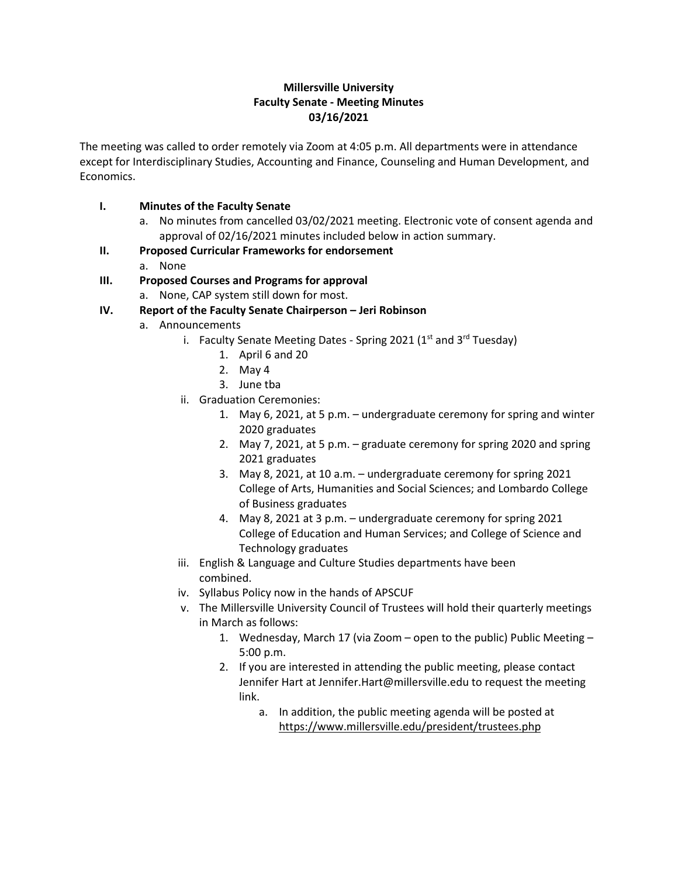# **Millersville University Faculty Senate - Meeting Minutes 03/16/2021**

The meeting was called to order remotely via Zoom at 4:05 p.m. All departments were in attendance except for Interdisciplinary Studies, Accounting and Finance, Counseling and Human Development, and Economics.

# **I. Minutes of the Faculty Senate**

- a. No minutes from cancelled 03/02/2021 meeting. Electronic vote of consent agenda and approval of 02/16/2021 minutes included below in action summary.
- **II. Proposed Curricular Frameworks for endorsement**
	- a. None

# **III. Proposed Courses and Programs for approval**

a. None, CAP system still down for most.

# **IV. Report of the Faculty Senate Chairperson – Jeri Robinson**

- a. Announcements
	- i. Faculty Senate Meeting Dates Spring 2021 ( $1<sup>st</sup>$  and  $3<sup>rd</sup>$  Tuesday)
		- 1. April 6 and 20
		- 2. May 4
		- 3. June tba
	- ii. Graduation Ceremonies:
		- 1. May 6, 2021, at 5 p.m. undergraduate ceremony for spring and winter 2020 graduates
		- 2. May 7, 2021, at 5 p.m. graduate ceremony for spring 2020 and spring 2021 graduates
		- 3. May 8, 2021, at 10 a.m. undergraduate ceremony for spring 2021 College of Arts, Humanities and Social Sciences; and Lombardo College of Business graduates
		- 4. May 8, 2021 at 3 p.m. undergraduate ceremony for spring 2021 College of Education and Human Services; and College of Science and Technology graduates
	- iii. English & Language and Culture Studies departments have been combined.
	- iv. Syllabus Policy now in the hands of APSCUF
	- v. The Millersville University Council of Trustees will hold their quarterly meetings in March as follows:
		- 1. Wednesday, March 17 (via Zoom open to the public) Public Meeting 5:00 p.m.
		- 2. If you are interested in attending the public meeting, please contact Jennifer Hart at Jennifer.Hart@millersville.edu to request the meeting link.
			- a. In addition, the public meeting agenda will be posted at <https://www.millersville.edu/president/trustees.php>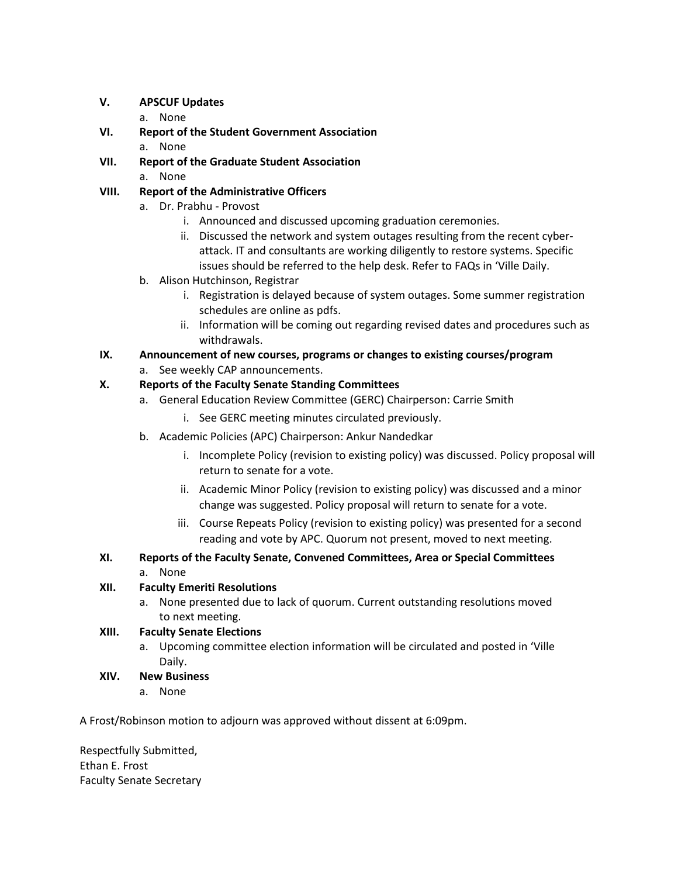# **V. APSCUF Updates**

- a. None
- **VI. Report of the Student Government Association** a. None
- **VII. Report of the Graduate Student Association**
	- a. None

## **VIII. Report of the Administrative Officers**

- a. Dr. Prabhu Provost
	- i. Announced and discussed upcoming graduation ceremonies.
	- ii. Discussed the network and system outages resulting from the recent cyberattack. IT and consultants are working diligently to restore systems. Specific issues should be referred to the help desk. Refer to FAQs in 'Ville Daily.
- b. Alison Hutchinson, Registrar
	- i. Registration is delayed because of system outages. Some summer registration schedules are online as pdfs.
	- ii. Information will be coming out regarding revised dates and procedures such as withdrawals.

# **IX. Announcement of new courses, programs or changes to existing courses/program**

a. See weekly CAP announcements.

# **X. Reports of the Faculty Senate Standing Committees**

- a. General Education Review Committee (GERC) Chairperson: Carrie Smith
	- i. See GERC meeting minutes circulated previously.
- b. Academic Policies (APC) Chairperson: Ankur Nandedkar
	- i. Incomplete Policy (revision to existing policy) was discussed. Policy proposal will return to senate for a vote.
	- ii. Academic Minor Policy (revision to existing policy) was discussed and a minor change was suggested. Policy proposal will return to senate for a vote.
	- iii. Course Repeats Policy (revision to existing policy) was presented for a second reading and vote by APC. Quorum not present, moved to next meeting.

# **XI. Reports of the Faculty Senate, Convened Committees, Area or Special Committees**

a. None

# **XII. Faculty Emeriti Resolutions**

a. None presented due to lack of quorum. Current outstanding resolutions moved to next meeting.

#### **XIII. Faculty Senate Elections**

a. Upcoming committee election information will be circulated and posted in 'Ville Daily.

#### **XIV. New Business**

a. None

A Frost/Robinson motion to adjourn was approved without dissent at 6:09pm.

Respectfully Submitted, Ethan E. Frost Faculty Senate Secretary